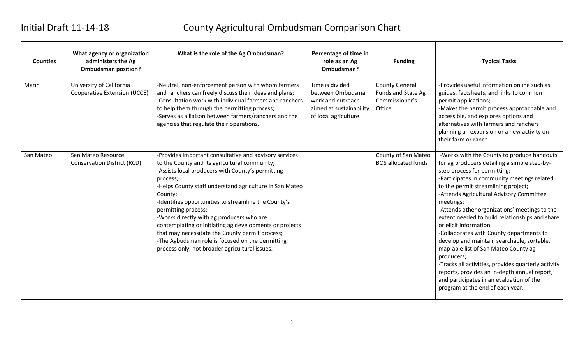# Initial Draft 11-14-18 County Agricultural Ombudsman Comparison Chart

| <b>Counties</b> | What agency or organization<br>administers the Ag<br><b>Ombudsman position?</b> | What is the role of the Ag Ombudsman?                                                                                                                                                                                                                                                                                                                                                                                                                                                                                                                                                          | Percentage of time in<br>role as an Ag<br>Ombudsman?                                                         | <b>Funding</b>                                                          | <b>Typical Tasks</b>                                                                                                                                                                                                                                                                                                                                                                                                                                                                                                                                                                                                                                                                                                                          |
|-----------------|---------------------------------------------------------------------------------|------------------------------------------------------------------------------------------------------------------------------------------------------------------------------------------------------------------------------------------------------------------------------------------------------------------------------------------------------------------------------------------------------------------------------------------------------------------------------------------------------------------------------------------------------------------------------------------------|--------------------------------------------------------------------------------------------------------------|-------------------------------------------------------------------------|-----------------------------------------------------------------------------------------------------------------------------------------------------------------------------------------------------------------------------------------------------------------------------------------------------------------------------------------------------------------------------------------------------------------------------------------------------------------------------------------------------------------------------------------------------------------------------------------------------------------------------------------------------------------------------------------------------------------------------------------------|
| Marin           | University of California<br><b>Cooperative Extension (UCCE)</b>                 | -Neutral, non-enforcement person with whom farmers<br>and ranchers can freely discuss their ideas and plans;<br>-Consultation work with individual farmers and ranchers<br>to help them through the permitting process;<br>-Serves as a liaison between farmers/ranchers and the<br>agencies that regulate their operations.                                                                                                                                                                                                                                                                   | Time is divided<br>between Ombudsman<br>work and outreach<br>aimed at sustainability<br>of local agriculture | <b>County General</b><br>Funds and State Ag<br>Commissioner's<br>Office | -Provides useful information online such as<br>guides, factsheets, and links to common<br>permit applications;<br>-Makes the permit process approachable and<br>accessible, and explores options and<br>alternatives with farmers and ranchers<br>planning an expansion or a new activity on<br>their farm or ranch.                                                                                                                                                                                                                                                                                                                                                                                                                          |
| San Mateo       | San Mateo Resource<br><b>Conservation District (RCD)</b>                        | -Provides important consultative and advisory services<br>to the County and its agricultural community;<br>-Assists local producers with County's permitting<br>process;<br>-Helps County staff understand agriculture in San Mateo<br>County;<br>-Identifies opportunities to streamline the County's<br>permitting process;<br>-Works directly with ag producers who are<br>contemplating or initiating ag developments or projects<br>that may necessitate the County permit process;<br>-The Agbudsman role is focused on the permitting<br>process only, not broader agricultural issues. |                                                                                                              | County of San Mateo<br><b>BOS allocated funds</b>                       | -Works with the County to produce handouts<br>for ag producers detailing a simple step-by-<br>step process for permitting;<br>-Participates in community meetings related<br>to the permit streamlining project;<br>-Attends Agricultural Advisory Committee<br>meetings;<br>-Attends other organizations' meetings to the<br>extent needed to build relationships and share<br>or elicit information;<br>-Collaborates with County departments to<br>develop and maintain searchable, sortable,<br>map-able list of San Mateo County ag<br>producers;<br>-Tracks all activities, provides quarterly activity<br>reports, provides an in-depth annual report,<br>and participates in an evaluation of the<br>program at the end of each year. |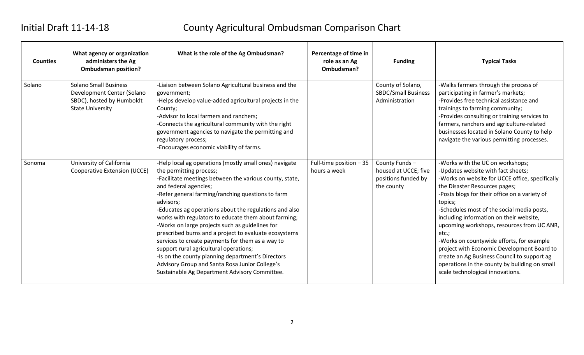# Initial Draft 11-14-18 County Agricultural Ombudsman Comparison Chart

| <b>Counties</b> | What agency or organization<br>administers the Ag<br><b>Ombudsman position?</b>                                    | What is the role of the Ag Ombudsman?                                                                                                                                                                                                                                                                                                                                                                                                                                                                                                                                                                                                                                                                                       | Percentage of time in<br>role as an Ag<br>Ombudsman? | <b>Funding</b>                                                             | <b>Typical Tasks</b>                                                                                                                                                                                                                                                                                                                                                                                                                                                                                                                                                                                     |
|-----------------|--------------------------------------------------------------------------------------------------------------------|-----------------------------------------------------------------------------------------------------------------------------------------------------------------------------------------------------------------------------------------------------------------------------------------------------------------------------------------------------------------------------------------------------------------------------------------------------------------------------------------------------------------------------------------------------------------------------------------------------------------------------------------------------------------------------------------------------------------------------|------------------------------------------------------|----------------------------------------------------------------------------|----------------------------------------------------------------------------------------------------------------------------------------------------------------------------------------------------------------------------------------------------------------------------------------------------------------------------------------------------------------------------------------------------------------------------------------------------------------------------------------------------------------------------------------------------------------------------------------------------------|
| Solano          | <b>Solano Small Business</b><br>Development Center (Solano<br>SBDC), hosted by Humboldt<br><b>State University</b> | -Liaison between Solano Agricultural business and the<br>government;<br>-Helps develop value-added agricultural projects in the<br>County;<br>-Advisor to local farmers and ranchers;<br>-Connects the agricultural community with the right<br>government agencies to navigate the permitting and<br>regulatory process;<br>-Encourages economic viability of farms.                                                                                                                                                                                                                                                                                                                                                       |                                                      | County of Solano,<br><b>SBDC/Small Business</b><br>Administration          | -Walks farmers through the process of<br>participating in farmer's markets;<br>-Provides free technical assistance and<br>trainings to farming community;<br>-Provides consulting or training services to<br>farmers, ranchers and agriculture-related<br>businesses located in Solano County to help<br>navigate the various permitting processes.                                                                                                                                                                                                                                                      |
| Sonoma          | University of California<br><b>Cooperative Extension (UCCE)</b>                                                    | -Help local ag operations (mostly small ones) navigate<br>the permitting process;<br>-Facilitate meetings between the various county, state,<br>and federal agencies;<br>-Refer general farming/ranching questions to farm<br>advisors;<br>-Educates ag operations about the regulations and also<br>works with regulators to educate them about farming;<br>-Works on large projects such as guidelines for<br>prescribed burns and a project to evaluate ecosystems<br>services to create payments for them as a way to<br>support rural agricultural operations;<br>-Is on the county planning department's Directors<br>Advisory Group and Santa Rosa Junior College's<br>Sustainable Ag Department Advisory Committee. | Full-time position $-35$<br>hours a week             | County Funds-<br>housed at UCCE; five<br>positions funded by<br>the county | -Works with the UC on workshops;<br>-Updates website with fact sheets;<br>-Works on website for UCCE office, specifically<br>the Disaster Resources pages;<br>-Posts blogs for their office on a variety of<br>topics;<br>-Schedules most of the social media posts,<br>including information on their website,<br>upcoming workshops, resources from UC ANR,<br>$etc.$ ;<br>-Works on countywide efforts, for example<br>project with Economic Development Board to<br>create an Ag Business Council to support ag<br>operations in the county by building on small<br>scale technological innovations. |